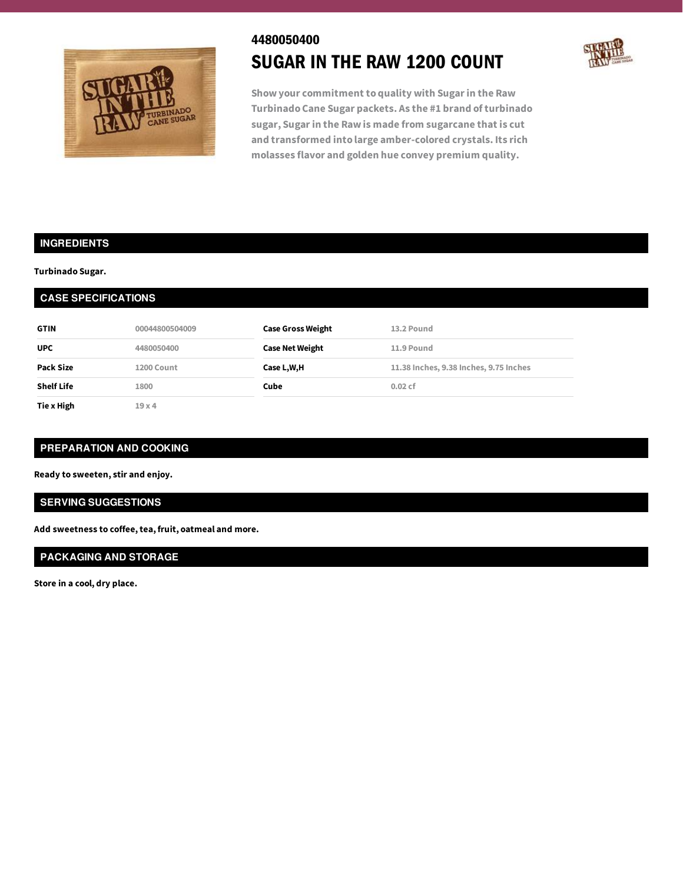

# 4480050400 SUGAR IN THE RAW 1200 COUNT



**Show your commitment to quality with Sugarin the Raw Turbinado Cane Sugar packets. As the #1 brand of turbinado sugar, Sugarin the Raw is made from sugarcane that is cut and transformed into large amber-colored crystals. Its rich molasses flavor and golden hue convey premium quality.**

# **INGREDIENTS**

#### **Turbinado Sugar.**

| <b>CASE SPECIFICATIONS</b> |                |                          |                                        |  |
|----------------------------|----------------|--------------------------|----------------------------------------|--|
| <b>GTIN</b>                | 00044800504009 | <b>Case Gross Weight</b> | 13.2 Pound                             |  |
| <b>UPC</b>                 | 4480050400     | <b>Case Net Weight</b>   | 11.9 Pound                             |  |
| Pack Size                  | 1200 Count     | Case L,W,H               | 11.38 Inches, 9.38 Inches, 9.75 Inches |  |
| <b>Shelf Life</b>          | 1800           | Cube                     | 0.02cf                                 |  |
| Tie x High                 | 19x4           |                          |                                        |  |

### **PREPARATION AND COOKING**

**Ready to sweeten, stir and enjoy.**

# **SERVING SUGGESTIONS**

**Add sweetness to coffee,tea, fruit, oatmeal and more.**

# **PACKAGING AND STORAGE**

**Store in a cool, dry place.**